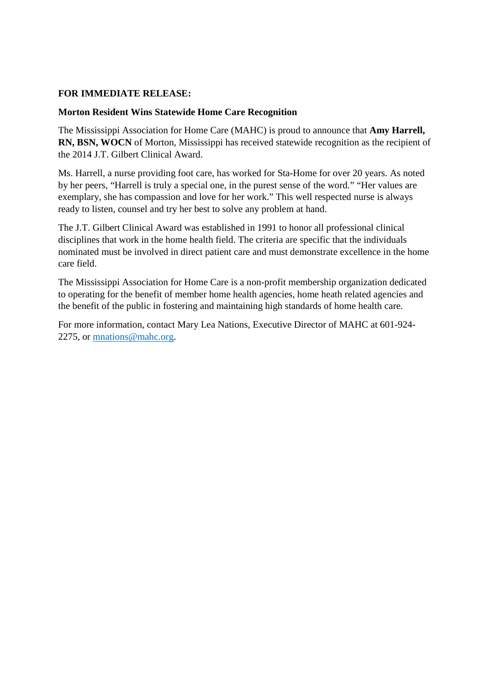## **FOR IMMEDIATE RELEASE:**

## **Morton Resident Wins Statewide Home Care Recognition**

The Mississippi Association for Home Care (MAHC) is proud to announce that **Amy Harrell, RN, BSN, WOCN** of Morton, Mississippi has received statewide recognition as the recipient of the 2014 J.T. Gilbert Clinical Award.

Ms. Harrell, a nurse providing foot care, has worked for Sta-Home for over 20 years. As noted by her peers, "Harrell is truly a special one, in the purest sense of the word." "Her values are exemplary, she has compassion and love for her work." This well respected nurse is always ready to listen, counsel and try her best to solve any problem at hand.

The J.T. Gilbert Clinical Award was established in 1991 to honor all professional clinical disciplines that work in the home health field. The criteria are specific that the individuals nominated must be involved in direct patient care and must demonstrate excellence in the home care field.

The Mississippi Association for Home Care is a non-profit membership organization dedicated to operating for the benefit of member home health agencies, home heath related agencies and the benefit of the public in fostering and maintaining high standards of home health care.

For more information, contact Mary Lea Nations, Executive Director of MAHC at 601-924- 2275, or mnations@mahc.org.